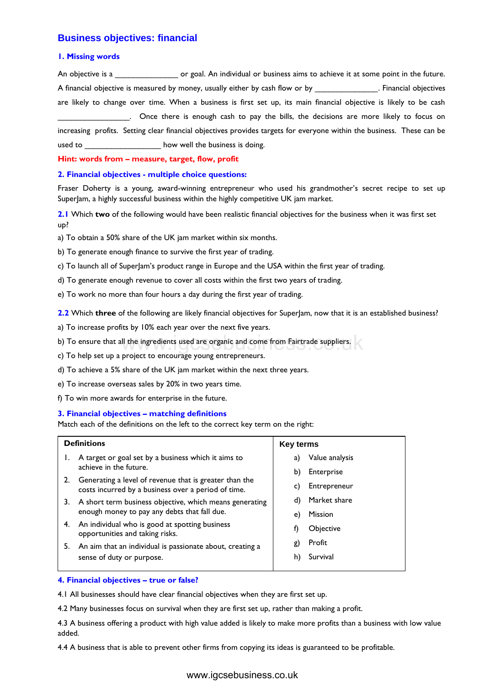## **Business objectives: financial**

### **1. Missing words**

An objective is a \_\_\_\_\_\_\_\_\_\_\_\_\_\_\_\_\_\_\_\_ or goal. An individual or business aims to achieve it at some point in the future. A financial objective is measured by money, usually either by cash flow or by \_\_\_\_\_\_\_\_\_\_\_\_\_\_. Financial objectives are likely to change over time. When a business is first set up, its main financial objective is likely to be cash \_\_\_\_\_\_\_\_\_\_\_\_\_\_\_\_. Once there is enough cash to pay the bills, the decisions are more likely to focus on increasing profits. Setting clear financial objectives provides targets for everyone within the business. These can be used to \_\_\_\_\_\_\_\_\_\_\_\_\_\_\_\_\_\_\_\_ how well the business is doing.

### **Hint: words from – measure, target, flow, profit**

### **2. Financial objectives - multiple choice questions:**

Fraser Doherty is a young, award-winning entrepreneur who used his grandmother's secret recipe to set up SuperJam, a highly successful business within the highly competitive UK jam market.

**2.1** Which **two** of the following would have been realistic financial objectives for the business when it was first set up?

a) To obtain a 50% share of the UK jam market within six months.

b) To generate enough finance to survive the first year of trading.

c) To launch all of SuperJam's product range in Europe and the USA within the first year of trading.

d) To generate enough revenue to cover all costs within the first two years of trading.

e) To work no more than four hours a day during the first year of trading.

**2.2** Which three of the following are likely financial objectives for SuperJam, now that it is an established business?

a) To increase profits by 10% each year over the next five years.

- d) To achieve a 5% share of the UK jam market within the next three years.
- e) To increase overseas sales by 20% in two years time.
- f) To win more awards for enterprise in the future.

### **3. Financial objectives – matching definitions**

|                            | b) To ensure that all the ingredients used are organic and come from Fairtrade suppliers.                                                                                                                                                                                                                                                                                                                                                                                                |                                                                                                                                                                   |
|----------------------------|------------------------------------------------------------------------------------------------------------------------------------------------------------------------------------------------------------------------------------------------------------------------------------------------------------------------------------------------------------------------------------------------------------------------------------------------------------------------------------------|-------------------------------------------------------------------------------------------------------------------------------------------------------------------|
|                            | c) To help set up a project to encourage young entrepreneurs.                                                                                                                                                                                                                                                                                                                                                                                                                            |                                                                                                                                                                   |
|                            | d) To achieve a 5% share of the UK jam market within the next three years.                                                                                                                                                                                                                                                                                                                                                                                                               |                                                                                                                                                                   |
|                            | e) To increase overseas sales by 20% in two years time.                                                                                                                                                                                                                                                                                                                                                                                                                                  |                                                                                                                                                                   |
|                            | f) To win more awards for enterprise in the future.                                                                                                                                                                                                                                                                                                                                                                                                                                      |                                                                                                                                                                   |
|                            | 3. Financial objectives - matching definitions<br>Match each of the definitions on the left to the correct key term on the right:                                                                                                                                                                                                                                                                                                                                                        |                                                                                                                                                                   |
|                            | <b>Definitions</b>                                                                                                                                                                                                                                                                                                                                                                                                                                                                       | <b>Key terms</b>                                                                                                                                                  |
| L.<br>2.<br>3.<br>4.<br>5. | A target or goal set by a business which it aims to<br>achieve in the future.<br>Generating a level of revenue that is greater than the<br>costs incurred by a business over a period of time.<br>A short term business objective, which means generating<br>enough money to pay any debts that fall due.<br>An individual who is good at spotting business<br>opportunities and taking risks.<br>An aim that an individual is passionate about, creating a<br>sense of duty or purpose. | Value analysis<br>a)<br>Enterprise<br>b)<br>Entrepreneur<br>C)<br>Market share<br>d)<br><b>Mission</b><br>e)<br>Objective<br>f)<br>Profit<br>g)<br>Survival<br>h) |
|                            | 4. Financial objectives - true or false?                                                                                                                                                                                                                                                                                                                                                                                                                                                 |                                                                                                                                                                   |
|                            | 4.1 All businesses should have clear financial objectives when they are first set up.                                                                                                                                                                                                                                                                                                                                                                                                    |                                                                                                                                                                   |
|                            | 4.2 Many businesses focus on survival when they are first set up, rather than making a profit.                                                                                                                                                                                                                                                                                                                                                                                           |                                                                                                                                                                   |
| added.                     | 4.3 A business offering a product with high value added is likely to make more profits than a business with                                                                                                                                                                                                                                                                                                                                                                              |                                                                                                                                                                   |
|                            | 4.4 A business that is able to prevent other firms from copying its ideas is guaranteed to be profitable.                                                                                                                                                                                                                                                                                                                                                                                |                                                                                                                                                                   |
|                            | www.igcsebusiness.co.uk                                                                                                                                                                                                                                                                                                                                                                                                                                                                  |                                                                                                                                                                   |

### **4. Financial objectives – true or false?**

4.3 A business offering a product with high value added is likely to make more profits than a business with low value added.